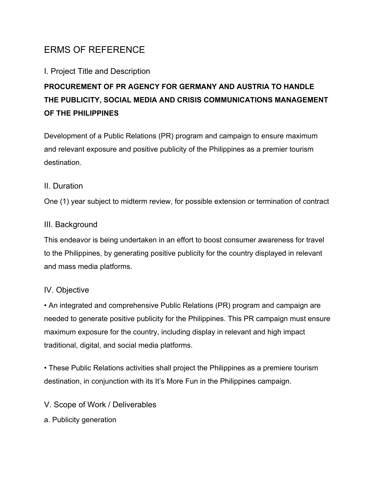# ERMS OF REFERENCE

# I. Project Title and Description

# **PROCUREMENT OF PR AGENCY FOR GERMANY AND AUSTRIA TO HANDLE THE PUBLICITY, SOCIAL MEDIA AND CRISIS COMMUNICATIONS MANAGEMENT OF THE PHILIPPINES**

Development of a Public Relations (PR) program and campaign to ensure maximum and relevant exposure and positive publicity of the Philippines as a premier tourism destination.

## II. Duration

One (1) year subject to midterm review, for possible extension or termination of contract

## III. Background

This endeavor is being undertaken in an effort to boost consumer awareness for travel to the Philippines, by generating positive publicity for the country displayed in relevant and mass media platforms.

# IV. Objective

• An integrated and comprehensive Public Relations (PR) program and campaign are needed to generate positive publicity for the Philippines. This PR campaign must ensure maximum exposure for the country, including display in relevant and high impact traditional, digital, and social media platforms.

• These Public Relations activities shall project the Philippines as a premiere tourism destination, in conjunction with its It's More Fun in the Philippines campaign.

V. Scope of Work / Deliverables

a. Publicity generation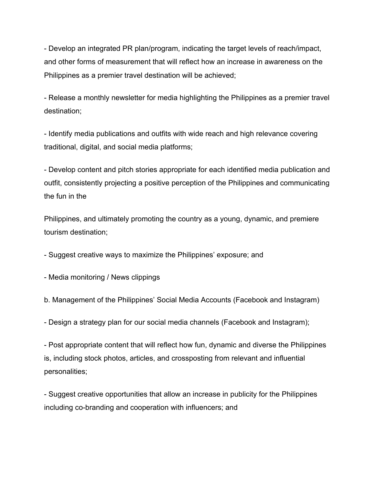- Develop an integrated PR plan/program, indicating the target levels of reach/impact, and other forms of measurement that will reflect how an increase in awareness on the Philippines as a premier travel destination will be achieved;

- Release a monthly newsletter for media highlighting the Philippines as a premier travel destination;

- Identify media publications and outfits with wide reach and high relevance covering traditional, digital, and social media platforms;

- Develop content and pitch stories appropriate for each identified media publication and outfit, consistently projecting a positive perception of the Philippines and communicating the fun in the

Philippines, and ultimately promoting the country as a young, dynamic, and premiere tourism destination;

- Suggest creative ways to maximize the Philippines' exposure; and

- Media monitoring / News clippings

b. Management of the Philippines' Social Media Accounts (Facebook and Instagram)

- Design a strategy plan for our social media channels (Facebook and Instagram);

- Post appropriate content that will reflect how fun, dynamic and diverse the Philippines is, including stock photos, articles, and crossposting from relevant and influential personalities;

- Suggest creative opportunities that allow an increase in publicity for the Philippines including co-branding and cooperation with influencers; and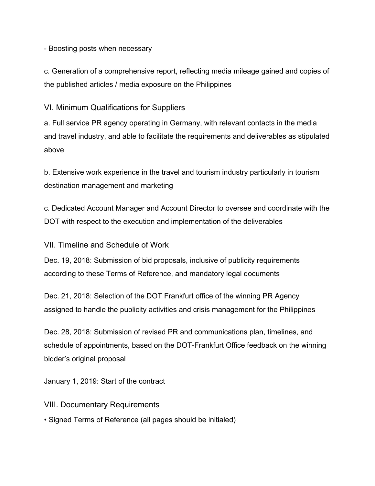- Boosting posts when necessary

c. Generation of a comprehensive report, reflecting media mileage gained and copies of the published articles / media exposure on the Philippines

VI. Minimum Qualifications for Suppliers

a. Full service PR agency operating in Germany, with relevant contacts in the media and travel industry, and able to facilitate the requirements and deliverables as stipulated above

b. Extensive work experience in the travel and tourism industry particularly in tourism destination management and marketing

c. Dedicated Account Manager and Account Director to oversee and coordinate with the DOT with respect to the execution and implementation of the deliverables

VII. Timeline and Schedule of Work

Dec. 19, 2018: Submission of bid proposals, inclusive of publicity requirements according to these Terms of Reference, and mandatory legal documents

Dec. 21, 2018: Selection of the DOT Frankfurt office of the winning PR Agency assigned to handle the publicity activities and crisis management for the Philippines

Dec. 28, 2018: Submission of revised PR and communications plan, timelines, and schedule of appointments, based on the DOT-Frankfurt Office feedback on the winning bidder's original proposal

January 1, 2019: Start of the contract

VIII. Documentary Requirements

• Signed Terms of Reference (all pages should be initialed)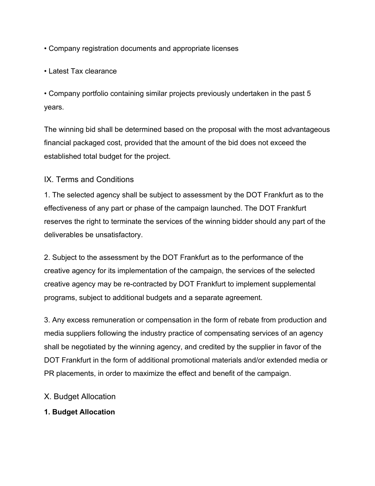- Company registration documents and appropriate licenses
- Latest Tax clearance

• Company portfolio containing similar projects previously undertaken in the past 5 years.

The winning bid shall be determined based on the proposal with the most advantageous financial packaged cost, provided that the amount of the bid does not exceed the established total budget for the project.

### IX. Terms and Conditions

1. The selected agency shall be subject to assessment by the DOT Frankfurt as to the effectiveness of any part or phase of the campaign launched. The DOT Frankfurt reserves the right to terminate the services of the winning bidder should any part of the deliverables be unsatisfactory.

2. Subject to the assessment by the DOT Frankfurt as to the performance of the creative agency for its implementation of the campaign, the services of the selected creative agency may be re-contracted by DOT Frankfurt to implement supplemental programs, subject to additional budgets and a separate agreement.

3. Any excess remuneration or compensation in the form of rebate from production and media suppliers following the industry practice of compensating services of an agency shall be negotiated by the winning agency, and credited by the supplier in favor of the DOT Frankfurt in the form of additional promotional materials and/or extended media or PR placements, in order to maximize the effect and benefit of the campaign.

#### X. Budget Allocation

#### **1. Budget Allocation**